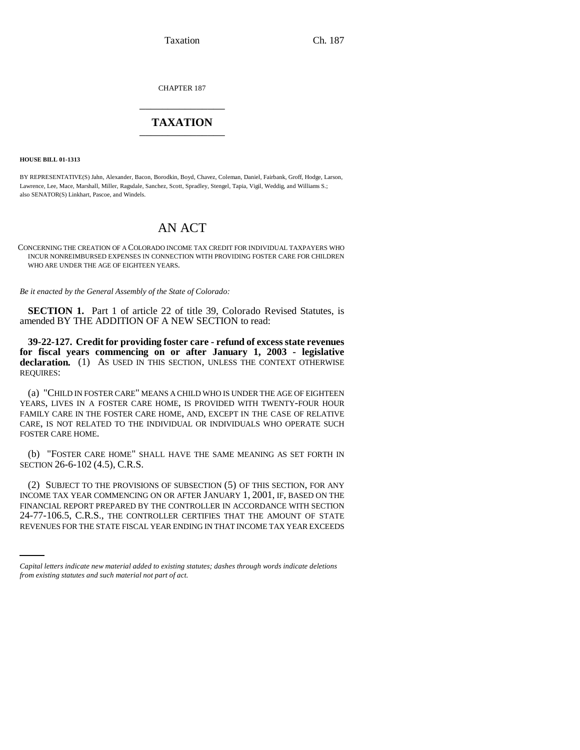Taxation Ch. 187

CHAPTER 187 \_\_\_\_\_\_\_\_\_\_\_\_\_\_\_

## **TAXATION** \_\_\_\_\_\_\_\_\_\_\_\_\_\_\_

**HOUSE BILL 01-1313**

BY REPRESENTATIVE(S) Jahn, Alexander, Bacon, Borodkin, Boyd, Chavez, Coleman, Daniel, Fairbank, Groff, Hodge, Larson, Lawrence, Lee, Mace, Marshall, Miller, Ragsdale, Sanchez, Scott, Spradley, Stengel, Tapia, Vigil, Weddig, and Williams S.; also SENATOR(S) Linkhart, Pascoe, and Windels.

# AN ACT

CONCERNING THE CREATION OF A COLORADO INCOME TAX CREDIT FOR INDIVIDUAL TAXPAYERS WHO INCUR NONREIMBURSED EXPENSES IN CONNECTION WITH PROVIDING FOSTER CARE FOR CHILDREN WHO ARE UNDER THE AGE OF EIGHTEEN YEARS.

*Be it enacted by the General Assembly of the State of Colorado:*

**SECTION 1.** Part 1 of article 22 of title 39, Colorado Revised Statutes, is amended BY THE ADDITION OF A NEW SECTION to read:

**39-22-127. Credit for providing foster care - refund of excess state revenues for fiscal years commencing on or after January 1, 2003 - legislative declaration.** (1) AS USED IN THIS SECTION, UNLESS THE CONTEXT OTHERWISE REQUIRES:

(a) "CHILD IN FOSTER CARE" MEANS A CHILD WHO IS UNDER THE AGE OF EIGHTEEN YEARS, LIVES IN A FOSTER CARE HOME, IS PROVIDED WITH TWENTY-FOUR HOUR FAMILY CARE IN THE FOSTER CARE HOME, AND, EXCEPT IN THE CASE OF RELATIVE CARE, IS NOT RELATED TO THE INDIVIDUAL OR INDIVIDUALS WHO OPERATE SUCH FOSTER CARE HOME.

(b) "FOSTER CARE HOME" SHALL HAVE THE SAME MEANING AS SET FORTH IN SECTION 26-6-102 (4.5), C.R.S.

FINANCIAL REPORT PREPARED BY THE CONTROLLER IN ACCORDANCE WITH SECTION (2) SUBJECT TO THE PROVISIONS OF SUBSECTION (5) OF THIS SECTION, FOR ANY INCOME TAX YEAR COMMENCING ON OR AFTER JANUARY 1, 2001, IF, BASED ON THE 24-77-106.5, C.R.S., THE CONTROLLER CERTIFIES THAT THE AMOUNT OF STATE REVENUES FOR THE STATE FISCAL YEAR ENDING IN THAT INCOME TAX YEAR EXCEEDS

*Capital letters indicate new material added to existing statutes; dashes through words indicate deletions from existing statutes and such material not part of act.*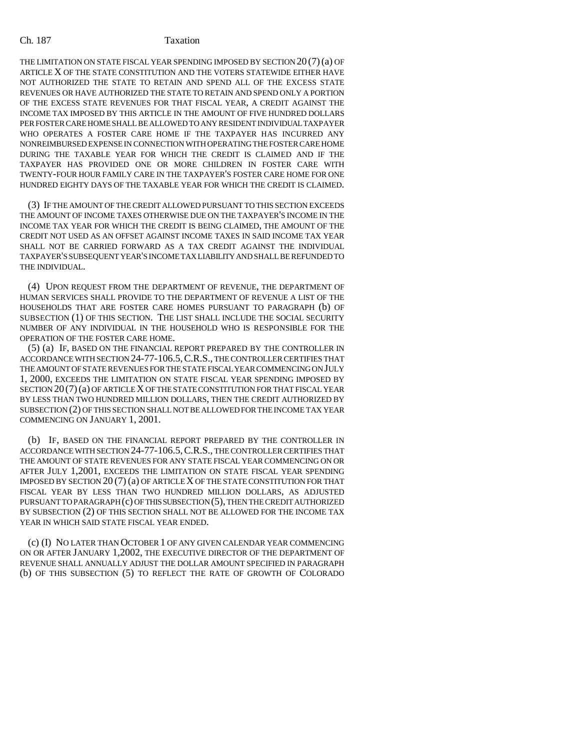THE LIMITATION ON STATE FISCAL YEAR SPENDING IMPOSED BY SECTION  $20(7)(a)$  OF ARTICLE X OF THE STATE CONSTITUTION AND THE VOTERS STATEWIDE EITHER HAVE NOT AUTHORIZED THE STATE TO RETAIN AND SPEND ALL OF THE EXCESS STATE REVENUES OR HAVE AUTHORIZED THE STATE TO RETAIN AND SPEND ONLY A PORTION OF THE EXCESS STATE REVENUES FOR THAT FISCAL YEAR, A CREDIT AGAINST THE INCOME TAX IMPOSED BY THIS ARTICLE IN THE AMOUNT OF FIVE HUNDRED DOLLARS PER FOSTER CARE HOME SHALL BE ALLOWED TO ANY RESIDENT INDIVIDUAL TAXPAYER WHO OPERATES A FOSTER CARE HOME IF THE TAXPAYER HAS INCURRED ANY NONREIMBURSED EXPENSE IN CONNECTION WITH OPERATING THE FOSTER CARE HOME DURING THE TAXABLE YEAR FOR WHICH THE CREDIT IS CLAIMED AND IF THE TAXPAYER HAS PROVIDED ONE OR MORE CHILDREN IN FOSTER CARE WITH TWENTY-FOUR HOUR FAMILY CARE IN THE TAXPAYER'S FOSTER CARE HOME FOR ONE HUNDRED EIGHTY DAYS OF THE TAXABLE YEAR FOR WHICH THE CREDIT IS CLAIMED.

(3) IF THE AMOUNT OF THE CREDIT ALLOWED PURSUANT TO THIS SECTION EXCEEDS THE AMOUNT OF INCOME TAXES OTHERWISE DUE ON THE TAXPAYER'S INCOME IN THE INCOME TAX YEAR FOR WHICH THE CREDIT IS BEING CLAIMED, THE AMOUNT OF THE CREDIT NOT USED AS AN OFFSET AGAINST INCOME TAXES IN SAID INCOME TAX YEAR SHALL NOT BE CARRIED FORWARD AS A TAX CREDIT AGAINST THE INDIVIDUAL TAXPAYER'S SUBSEQUENT YEAR'S INCOME TAX LIABILITY AND SHALL BE REFUNDED TO THE INDIVIDUAL.

(4) UPON REQUEST FROM THE DEPARTMENT OF REVENUE, THE DEPARTMENT OF HUMAN SERVICES SHALL PROVIDE TO THE DEPARTMENT OF REVENUE A LIST OF THE HOUSEHOLDS THAT ARE FOSTER CARE HOMES PURSUANT TO PARAGRAPH (b) OF SUBSECTION (1) OF THIS SECTION. THE LIST SHALL INCLUDE THE SOCIAL SECURITY NUMBER OF ANY INDIVIDUAL IN THE HOUSEHOLD WHO IS RESPONSIBLE FOR THE OPERATION OF THE FOSTER CARE HOME.

(5) (a) IF, BASED ON THE FINANCIAL REPORT PREPARED BY THE CONTROLLER IN ACCORDANCE WITH SECTION 24-77-106.5,C.R.S., THE CONTROLLER CERTIFIES THAT THE AMOUNT OF STATE REVENUES FOR THE STATE FISCAL YEAR COMMENCING ON JULY 1, 2000, EXCEEDS THE LIMITATION ON STATE FISCAL YEAR SPENDING IMPOSED BY SECTION 20 (7)(a) OF ARTICLE X OF THE STATE CONSTITUTION FOR THAT FISCAL YEAR BY LESS THAN TWO HUNDRED MILLION DOLLARS, THEN THE CREDIT AUTHORIZED BY SUBSECTION (2) OF THIS SECTION SHALL NOT BE ALLOWED FOR THE INCOME TAX YEAR COMMENCING ON JANUARY 1, 2001.

(b) IF, BASED ON THE FINANCIAL REPORT PREPARED BY THE CONTROLLER IN ACCORDANCE WITH SECTION 24-77-106.5,C.R.S., THE CONTROLLER CERTIFIES THAT THE AMOUNT OF STATE REVENUES FOR ANY STATE FISCAL YEAR COMMENCING ON OR AFTER JULY 1,2001, EXCEEDS THE LIMITATION ON STATE FISCAL YEAR SPENDING IMPOSED BY SECTION 20 (7) (a) OF ARTICLE X OF THE STATE CONSTITUTION FOR THAT FISCAL YEAR BY LESS THAN TWO HUNDRED MILLION DOLLARS, AS ADJUSTED PURSUANT TO PARAGRAPH (c) OF THIS SUBSECTION (5), THEN THE CREDIT AUTHORIZED BY SUBSECTION (2) OF THIS SECTION SHALL NOT BE ALLOWED FOR THE INCOME TAX YEAR IN WHICH SAID STATE FISCAL YEAR ENDED.

(c) (I) NO LATER THAN OCTOBER 1 OF ANY GIVEN CALENDAR YEAR COMMENCING ON OR AFTER JANUARY 1,2002, THE EXECUTIVE DIRECTOR OF THE DEPARTMENT OF REVENUE SHALL ANNUALLY ADJUST THE DOLLAR AMOUNT SPECIFIED IN PARAGRAPH (b) OF THIS SUBSECTION (5) TO REFLECT THE RATE OF GROWTH OF COLORADO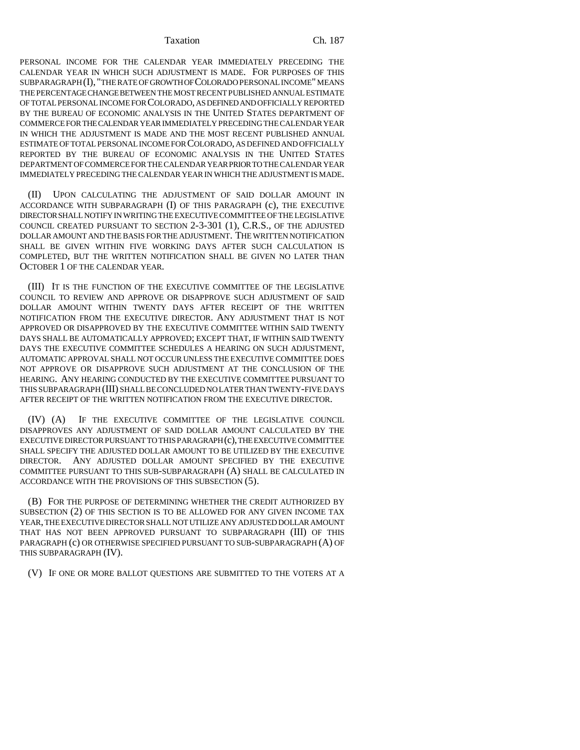Taxation Ch. 187

PERSONAL INCOME FOR THE CALENDAR YEAR IMMEDIATELY PRECEDING THE CALENDAR YEAR IN WHICH SUCH ADJUSTMENT IS MADE. FOR PURPOSES OF THIS SUBPARAGRAPH (I), "THE RATE OF GROWTH OF COLORADO PERSONAL INCOME" MEANS THE PERCENTAGE CHANGE BETWEEN THE MOST RECENT PUBLISHED ANNUAL ESTIMATE OF TOTAL PERSONAL INCOME FOR COLORADO, AS DEFINED AND OFFICIALLY REPORTED BY THE BUREAU OF ECONOMIC ANALYSIS IN THE UNITED STATES DEPARTMENT OF COMMERCE FOR THE CALENDAR YEAR IMMEDIATELY PRECEDING THE CALENDAR YEAR IN WHICH THE ADJUSTMENT IS MADE AND THE MOST RECENT PUBLISHED ANNUAL ESTIMATE OF TOTAL PERSONAL INCOME FOR COLORADO, AS DEFINED AND OFFICIALLY REPORTED BY THE BUREAU OF ECONOMIC ANALYSIS IN THE UNITED STATES DEPARTMENT OF COMMERCE FOR THE CALENDAR YEAR PRIOR TO THE CALENDAR YEAR IMMEDIATELY PRECEDING THE CALENDAR YEAR IN WHICH THE ADJUSTMENT IS MADE.

(II) UPON CALCULATING THE ADJUSTMENT OF SAID DOLLAR AMOUNT IN ACCORDANCE WITH SUBPARAGRAPH (I) OF THIS PARAGRAPH (c), THE EXECUTIVE DIRECTOR SHALL NOTIFY IN WRITING THE EXECUTIVE COMMITTEE OF THE LEGISLATIVE COUNCIL CREATED PURSUANT TO SECTION 2-3-301 (1), C.R.S., OF THE ADJUSTED DOLLAR AMOUNT AND THE BASIS FOR THE ADJUSTMENT. THE WRITTEN NOTIFICATION SHALL BE GIVEN WITHIN FIVE WORKING DAYS AFTER SUCH CALCULATION IS COMPLETED, BUT THE WRITTEN NOTIFICATION SHALL BE GIVEN NO LATER THAN OCTOBER 1 OF THE CALENDAR YEAR.

(III) IT IS THE FUNCTION OF THE EXECUTIVE COMMITTEE OF THE LEGISLATIVE COUNCIL TO REVIEW AND APPROVE OR DISAPPROVE SUCH ADJUSTMENT OF SAID DOLLAR AMOUNT WITHIN TWENTY DAYS AFTER RECEIPT OF THE WRITTEN NOTIFICATION FROM THE EXECUTIVE DIRECTOR. ANY ADJUSTMENT THAT IS NOT APPROVED OR DISAPPROVED BY THE EXECUTIVE COMMITTEE WITHIN SAID TWENTY DAYS SHALL BE AUTOMATICALLY APPROVED; EXCEPT THAT, IF WITHIN SAID TWENTY DAYS THE EXECUTIVE COMMITTEE SCHEDULES A HEARING ON SUCH ADJUSTMENT, AUTOMATIC APPROVAL SHALL NOT OCCUR UNLESS THE EXECUTIVE COMMITTEE DOES NOT APPROVE OR DISAPPROVE SUCH ADJUSTMENT AT THE CONCLUSION OF THE HEARING. ANY HEARING CONDUCTED BY THE EXECUTIVE COMMITTEE PURSUANT TO THIS SUBPARAGRAPH (III) SHALL BE CONCLUDED NO LATER THAN TWENTY-FIVE DAYS AFTER RECEIPT OF THE WRITTEN NOTIFICATION FROM THE EXECUTIVE DIRECTOR.

(IV) (A) IF THE EXECUTIVE COMMITTEE OF THE LEGISLATIVE COUNCIL DISAPPROVES ANY ADJUSTMENT OF SAID DOLLAR AMOUNT CALCULATED BY THE EXECUTIVE DIRECTOR PURSUANT TO THIS PARAGRAPH (c), THE EXECUTIVE COMMITTEE SHALL SPECIFY THE ADJUSTED DOLLAR AMOUNT TO BE UTILIZED BY THE EXECUTIVE DIRECTOR. ANY ADJUSTED DOLLAR AMOUNT SPECIFIED BY THE EXECUTIVE COMMITTEE PURSUANT TO THIS SUB-SUBPARAGRAPH (A) SHALL BE CALCULATED IN ACCORDANCE WITH THE PROVISIONS OF THIS SUBSECTION (5).

(B) FOR THE PURPOSE OF DETERMINING WHETHER THE CREDIT AUTHORIZED BY SUBSECTION (2) OF THIS SECTION IS TO BE ALLOWED FOR ANY GIVEN INCOME TAX YEAR, THE EXECUTIVE DIRECTOR SHALL NOT UTILIZE ANY ADJUSTED DOLLAR AMOUNT THAT HAS NOT BEEN APPROVED PURSUANT TO SUBPARAGRAPH (III) OF THIS PARAGRAPH (c) OR OTHERWISE SPECIFIED PURSUANT TO SUB-SUBPARAGRAPH (A) OF THIS SUBPARAGRAPH (IV).

(V) IF ONE OR MORE BALLOT QUESTIONS ARE SUBMITTED TO THE VOTERS AT A